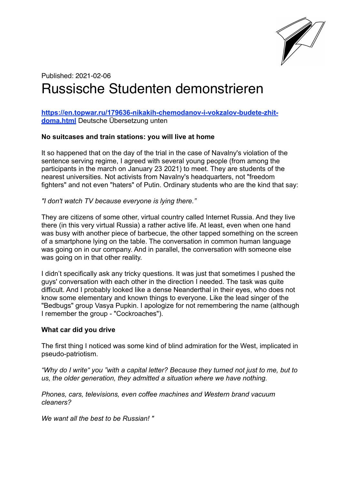

# Published: 2021-02-06 Russische Studenten demonstrieren

## **[https://en.topwar.ru/179636-nikakih-chemodanov-i-vokzalov-budete-zhit](https://en.topwar.ru/179636-nikakih-chemodanov-i-vokzalov-budete-zhit-doma.html)[doma.html](https://en.topwar.ru/179636-nikakih-chemodanov-i-vokzalov-budete-zhit-doma.html)** Deutsche Übersetzung unten

## **No suitcases and train stations: you will live at home**

It so happened that on the day of the trial in the case of Navalny's violation of the sentence serving regime, I agreed with several young people (from among the participants in the march on January 23 2021) to meet. They are students of the nearest universities. Not activists from Navalny's headquarters, not "freedom fighters" and not even "haters" of Putin. Ordinary students who are the kind that say:

*"I don't watch TV because everyone is lying there."* 

They are citizens of some other, virtual country called Internet Russia. And they live there (in this very virtual Russia) a rather active life. At least, even when one hand was busy with another piece of barbecue, the other tapped something on the screen of a smartphone lying on the table. The conversation in common human language was going on in our company. And in parallel, the conversation with someone else was going on in that other reality.

I didn't specifically ask any tricky questions. It was just that sometimes I pushed the guys' conversation with each other in the direction I needed. The task was quite difficult. And I probably looked like a dense Neanderthal in their eyes, who does not know some elementary and known things to everyone. Like the lead singer of the "Bedbugs" group Vasya Pupkin. I apologize for not remembering the name (although I remember the group - "Cockroaches").

## **What car did you drive**

The first thing I noticed was some kind of blind admiration for the West, implicated in pseudo-patriotism.

*"Why do I write" you "with a capital letter? Because they turned not just to me, but to us, the older generation, they admitted a situation where we have nothing.* 

*Phones, cars, televisions, even coffee machines and Western brand vacuum cleaners?* 

*We want all the best to be Russian! "*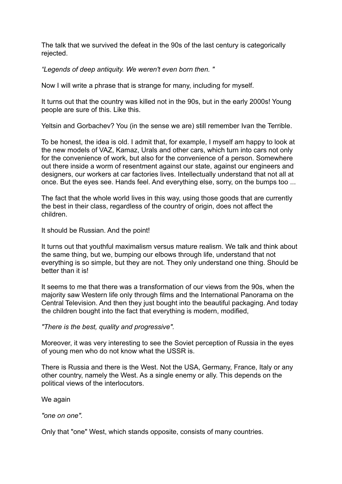The talk that we survived the defeat in the 90s of the last century is categorically rejected.

*"Legends of deep antiquity. We weren't even born then. "* 

Now I will write a phrase that is strange for many, including for myself.

It turns out that the country was killed not in the 90s, but in the early 2000s! Young people are sure of this. Like this.

Yeltsin and Gorbachev? You (in the sense we are) still remember Ivan the Terrible.

To be honest, the idea is old. I admit that, for example, I myself am happy to look at the new models of VAZ, Kamaz, Urals and other cars, which turn into cars not only for the convenience of work, but also for the convenience of a person. Somewhere out there inside a worm of resentment against our state, against our engineers and designers, our workers at car factories lives. Intellectually understand that not all at once. But the eyes see. Hands feel. And everything else, sorry, on the bumps too ...

The fact that the whole world lives in this way, using those goods that are currently the best in their class, regardless of the country of origin, does not affect the children.

It should be Russian. And the point!

It turns out that youthful maximalism versus mature realism. We talk and think about the same thing, but we, bumping our elbows through life, understand that not everything is so simple, but they are not. They only understand one thing. Should be better than it is!

It seems to me that there was a transformation of our views from the 90s, when the majority saw Western life only through films and the International Panorama on the Central Television. And then they just bought into the beautiful packaging. And today the children bought into the fact that everything is modern, modified,

*"There is the best, quality and progressive".* 

Moreover, it was very interesting to see the Soviet perception of Russia in the eyes of young men who do not know what the USSR is.

There is Russia and there is the West. Not the USA, Germany, France, Italy or any other country, namely the West. As a single enemy or ally. This depends on the political views of the interlocutors.

We again

*"one on one".* 

Only that "one" West, which stands opposite, consists of many countries.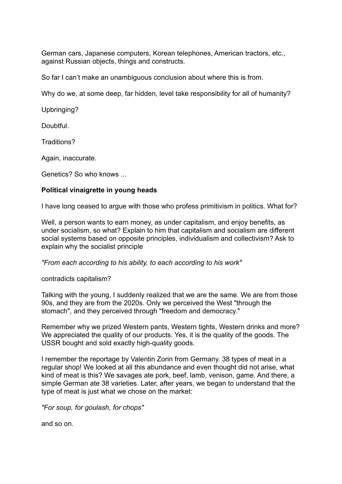German cars, Japanese computers, Korean telephones, American tractors, etc., against Russian objects, things and constructs.

So far I can't make an unambiguous conclusion about where this is from.

Why do we, at some deep, far hidden, level take responsibility for all of humanity?

Upbringing?

Doubtful.

Traditions?

Again, inaccurate.

Genetics? So who knows ...

## **Political vinaigrette in young heads**

I have long ceased to argue with those who profess primitivism in politics. What for?

Well, a person wants to earn money, as under capitalism, and enjoy benefits, as under socialism, so what? Explain to him that capitalism and socialism are different social systems based on opposite principles, individualism and collectivism? Ask to explain why the socialist principle

*"From each according to his ability, to each according to his work"* 

contradicts capitalism?

Talking with the young, I suddenly realized that we are the same. We are from those 90s, and they are from the 2020s. Only we perceived the West "through the stomach", and they perceived through "freedom and democracy."

Remember why we prized Western pants, Western tights, Western drinks and more? We appreciated the quality of our products. Yes, it is the quality of the goods. The USSR bought and sold exactly high-quality goods.

I remember the reportage by Valentin Zorin from Germany. 38 types of meat in a regular shop! We looked at all this abundance and even thought did not arise, what kind of meat is this? We savages ate pork, beef, lamb, venison, game. And there, a simple German ate 38 varieties. Later, after years, we began to understand that the type of meat is just what we chose on the market:

*"For soup, for goulash, for chops"* 

and so on.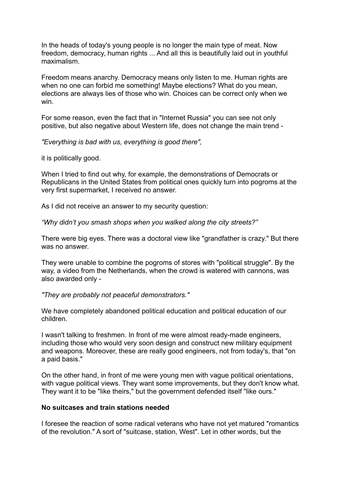In the heads of today's young people is no longer the main type of meat. Now freedom, democracy, human rights ... And all this is beautifully laid out in youthful maximalism.

Freedom means anarchy. Democracy means only listen to me. Human rights are when no one can forbid me something! Maybe elections? What do you mean, elections are always lies of those who win. Choices can be correct only when we win.

For some reason, even the fact that in "Internet Russia" you can see not only positive, but also negative about Western life, does not change the main trend -

### *"Everything is bad with us, everything is good there",*

it is politically good.

When I tried to find out why, for example, the demonstrations of Democrats or Republicans in the United States from political ones quickly turn into pogroms at the very first supermarket, I received no answer.

As I did not receive an answer to my security question:

*"Why didn't you smash shops when you walked along the city streets?"* 

There were big eyes. There was a doctoral view like "grandfather is crazy." But there was no answer.

They were unable to combine the pogroms of stores with "political struggle". By the way, a video from the Netherlands, when the crowd is watered with cannons, was also awarded only -

*"They are probably not peaceful demonstrators."* 

We have completely abandoned political education and political education of our children.

I wasn't talking to freshmen. In front of me were almost ready-made engineers, including those who would very soon design and construct new military equipment and weapons. Moreover, these are really good engineers, not from today's, that "on a paid basis."

On the other hand, in front of me were young men with vague political orientations, with vague political views. They want some improvements, but they don't know what. They want it to be "like theirs," but the government defended itself "like ours."

## **No suitcases and train stations needed**

I foresee the reaction of some radical veterans who have not yet matured "romantics of the revolution." A sort of "suitcase, station, West". Let in other words, but the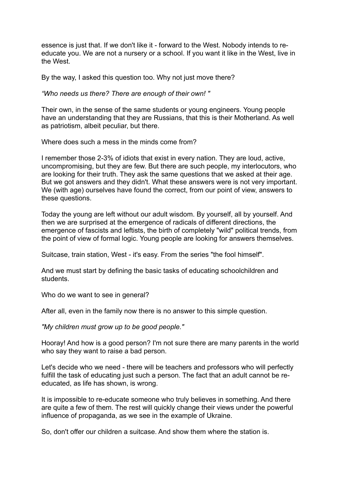essence is just that. If we don't like it - forward to the West. Nobody intends to reeducate you. We are not a nursery or a school. If you want it like in the West, live in the West.

By the way, I asked this question too. Why not just move there?

*"Who needs us there? There are enough of their own! "* 

Their own, in the sense of the same students or young engineers. Young people have an understanding that they are Russians, that this is their Motherland. As well as patriotism, albeit peculiar, but there.

Where does such a mess in the minds come from?

I remember those 2-3% of idiots that exist in every nation. They are loud, active, uncompromising, but they are few. But there are such people, my interlocutors, who are looking for their truth. They ask the same questions that we asked at their age. But we got answers and they didn't. What these answers were is not very important. We (with age) ourselves have found the correct, from our point of view, answers to these questions.

Today the young are left without our adult wisdom. By yourself, all by yourself. And then we are surprised at the emergence of radicals of different directions, the emergence of fascists and leftists, the birth of completely "wild" political trends, from the point of view of formal logic. Young people are looking for answers themselves.

Suitcase, train station, West - it's easy. From the series "the fool himself".

And we must start by defining the basic tasks of educating schoolchildren and students.

Who do we want to see in general?

After all, even in the family now there is no answer to this simple question.

*"My children must grow up to be good people."* 

Hooray! And how is a good person? I'm not sure there are many parents in the world who say they want to raise a bad person.

Let's decide who we need - there will be teachers and professors who will perfectly fulfill the task of educating just such a person. The fact that an adult cannot be reeducated, as life has shown, is wrong.

It is impossible to re-educate someone who truly believes in something. And there are quite a few of them. The rest will quickly change their views under the powerful influence of propaganda, as we see in the example of Ukraine.

So, don't offer our children a suitcase. And show them where the station is.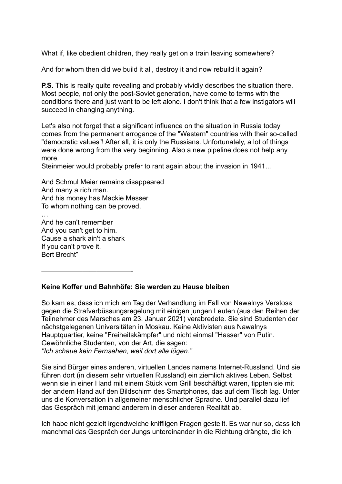What if, like obedient children, they really get on a train leaving somewhere?

And for whom then did we build it all, destroy it and now rebuild it again?

**P.S.** This is really quite revealing and probably vividly describes the situation there. Most people, not only the post-Soviet generation, have come to terms with the conditions there and just want to be left alone. I don't think that a few instigators will succeed in changing anything.

Let's also not forget that a significant influence on the situation in Russia today comes from the permanent arrogance of the "Western" countries with their so-called "democratic values"! After all, it is only the Russians. Unfortunately, a lot of things were done wrong from the very beginning. Also a new pipeline does not help any more.

Steinmeier would probably prefer to rant again about the invasion in 1941...

And Schmul Meier remains disappeared And many a rich man. And his money has Mackie Messer To whom nothing can be proved.

And he can't remember And you can't get to him. Cause a shark ain't a shark If you can't prove it. Bert Brecht"

—————————————-

## **Keine Koffer und Bahnhöfe: Sie werden zu Hause bleiben**

So kam es, dass ich mich am Tag der Verhandlung im Fall von Nawalnys Verstoss gegen die Strafverbüssungsregelung mit einigen jungen Leuten (aus den Reihen der Teilnehmer des Marsches am 23. Januar 2021) verabredete. Sie sind Studenten der nächstgelegenen Universitäten in Moskau. Keine Aktivisten aus Nawalnys Hauptquartier, keine "Freiheitskämpfer" und nicht einmal "Hasser" von Putin. Gewöhnliche Studenten, von der Art, die sagen: *"Ich schaue kein Fernsehen, weil dort alle lügen."* 

Sie sind Bürger eines anderen, virtuellen Landes namens Internet-Russland. Und sie führen dort (in diesem sehr virtuellen Russland) ein ziemlich aktives Leben. Selbst wenn sie in einer Hand mit einem Stück vom Grill beschäftigt waren, tippten sie mit der andern Hand auf den Bildschirm des Smartphones, das auf dem Tisch lag. Unter uns die Konversation in allgemeiner menschlicher Sprache. Und parallel dazu lief das Gespräch mit jemand anderem in dieser anderen Realität ab.

Ich habe nicht gezielt irgendwelche kniffligen Fragen gestellt. Es war nur so, dass ich manchmal das Gespräch der Jungs untereinander in die Richtung drängte, die ich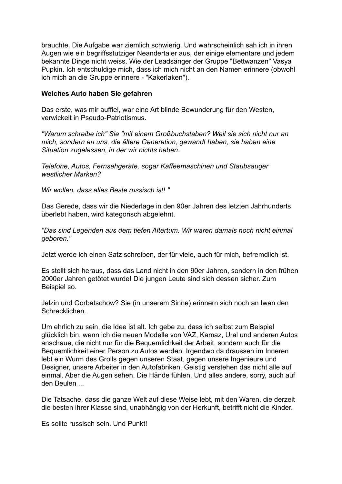brauchte. Die Aufgabe war ziemlich schwierig. Und wahrscheinlich sah ich in ihren Augen wie ein begriffsstutziger Neandertaler aus, der einige elementare und jedem bekannte Dinge nicht weiss. Wie der Leadsänger der Gruppe "Bettwanzen" Vasya Pupkin. Ich entschuldige mich, dass ich mich nicht an den Namen erinnere (obwohl ich mich an die Gruppe erinnere - "Kakerlaken").

### **Welches Auto haben Sie gefahren**

Das erste, was mir auffiel, war eine Art blinde Bewunderung für den Westen, verwickelt in Pseudo-Patriotismus.

*"Warum schreibe ich" Sie "mit einem Großbuchstaben? Weil sie sich nicht nur an mich, sondern an uns, die ältere Generation, gewandt haben, sie haben eine Situation zugelassen, in der wir nichts haben.* 

*Telefone, Autos, Fernsehgeräte, sogar Kaffeemaschinen und Staubsauger westlicher Marken?* 

*Wir wollen, dass alles Beste russisch ist! "* 

Das Gerede, dass wir die Niederlage in den 90er Jahren des letzten Jahrhunderts überlebt haben, wird kategorisch abgelehnt.

*"Das sind Legenden aus dem tiefen Altertum. Wir waren damals noch nicht einmal geboren."* 

Jetzt werde ich einen Satz schreiben, der für viele, auch für mich, befremdlich ist.

Es stellt sich heraus, dass das Land nicht in den 90er Jahren, sondern in den frühen 2000er Jahren getötet wurde! Die jungen Leute sind sich dessen sicher. Zum Beispiel so.

Jelzin und Gorbatschow? Sie (in unserem Sinne) erinnern sich noch an Iwan den Schrecklichen.

Um ehrlich zu sein, die Idee ist alt. Ich gebe zu, dass ich selbst zum Beispiel glücklich bin, wenn ich die neuen Modelle von VAZ, Kamaz, Ural und anderen Autos anschaue, die nicht nur für die Bequemlichkeit der Arbeit, sondern auch für die Bequemlichkeit einer Person zu Autos werden. Irgendwo da draussen im Inneren lebt ein Wurm des Grolls gegen unseren Staat, gegen unsere Ingenieure und Designer, unsere Arbeiter in den Autofabriken. Geistig verstehen das nicht alle auf einmal. Aber die Augen sehen. Die Hände fühlen. Und alles andere, sorry, auch auf den Beulen ...

Die Tatsache, dass die ganze Welt auf diese Weise lebt, mit den Waren, die derzeit die besten ihrer Klasse sind, unabhängig von der Herkunft, betrifft nicht die Kinder.

Es sollte russisch sein. Und Punkt!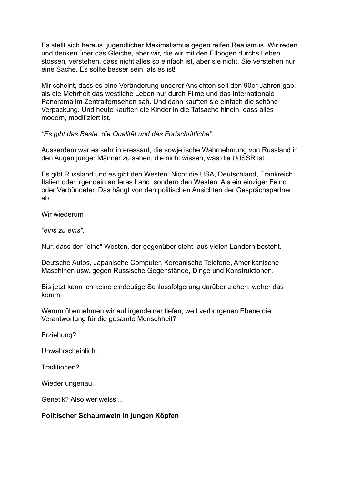Es stellt sich heraus, jugendlicher Maximalismus gegen reifen Realismus. Wir reden und denken über das Gleiche, aber wir, die wir mit den Ellbogen durchs Leben stossen, verstehen, dass nicht alles so einfach ist, aber sie nicht. Sie verstehen nur eine Sache. Es sollte besser sein, als es ist!

Mir scheint, dass es eine Veränderung unserer Ansichten seit den 90er Jahren gab, als die Mehrheit das westliche Leben nur durch Filme und das Internationale Panorama im Zentralfernsehen sah. Und dann kauften sie einfach die schöne Verpackung. Und heute kauften die Kinder in die Tatsache hinein, dass alles modern, modifiziert ist,

*"Es gibt das Beste, die Qualität und das Fortschrittliche".* 

Ausserdem war es sehr interessant, die sowjetische Wahrnehmung von Russland in den Augen junger Männer zu sehen, die nicht wissen, was die UdSSR ist.

Es gibt Russland und es gibt den Westen. Nicht die USA, Deutschland, Frankreich, Italien oder irgendein anderes Land, sondern den Westen. Als ein einziger Feind oder Verbündeter. Das hängt von den politischen Ansichten der Gesprächspartner ab.

Wir wiederum

*"eins zu eins".* 

Nur, dass der "eine" Westen, der gegenüber steht, aus vielen Ländern besteht.

Deutsche Autos, Japanische Computer, Koreanische Telefone, Amerikanische Maschinen usw. gegen Russische Gegenstände, Dinge und Konstruktionen.

Bis jetzt kann ich keine eindeutige Schlussfolgerung darüber ziehen, woher das kommt.

Warum übernehmen wir auf irgendeiner tiefen, weit verborgenen Ebene die Verantwortung für die gesamte Menschheit?

Erziehung?

Unwahrscheinlich.

Traditionen?

Wieder ungenau.

Genetik? Also wer weiss ...

## **Politischer Schaumwein in jungen Köpfen**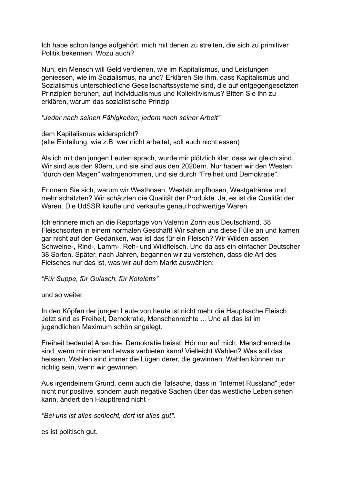Ich habe schon lange aufgehört, mich mit denen zu streiten, die sich zu primitiver Politik bekennen. Wozu auch?

Nun, ein Mensch will Geld verdienen, wie im Kapitalismus, und Leistungen geniessen, wie im Sozialismus, na und? Erklären Sie ihm, dass Kapitalismus und Sozialismus unterschiedliche Gesellschaftssysteme sind, die auf entgegengesetzten Prinzipien beruhen, auf Individualismus und Kollektivismus? Bitten Sie ihn zu erklären, warum das sozialistische Prinzip

#### *"Jeder nach seinen Fähigkeiten, jedem nach seiner Arbeit"*

dem Kapitalismus widerspricht? (alte Einteilung, wie z.B. wer nicht arbeitet, soll auch nicht essen)

Als ich mit den jungen Leuten sprach, wurde mir plötzlich klar, dass wir gleich sind. Wir sind aus den 90ern, und sie sind aus den 2020ern. Nur haben wir den Westen "durch den Magen" wahrgenommen, und sie durch "Freiheit und Demokratie".

Erinnern Sie sich, warum wir Westhosen, Weststrumpfhosen, Westgetränke und mehr schätzten? Wir schätzten die Qualität der Produkte. Ja, es ist die Qualität der Waren. Die UdSSR kaufte und verkaufte genau hochwertige Waren.

Ich erinnere mich an die Reportage von Valentin Zorin aus Deutschland. 38 Fleischsorten in einem normalen Geschäft! Wir sahen uns diese Fülle an und kamen gar nicht auf den Gedanken, was ist das für ein Fleisch? Wir Wilden assen Schweine-, Rind-, Lamm-, Reh- und Wildfleisch. Und da ass ein einfacher Deutscher 38 Sorten. Später, nach Jahren, begannen wir zu verstehen, dass die Art des Fleisches nur das ist, was wir auf dem Markt auswählen:

## *"Für Suppe, für Gulasch, für Koteletts"*

und so weiter.

In den Köpfen der jungen Leute von heute ist nicht mehr die Hauptsache Fleisch. Jetzt sind es Freiheit, Demokratie, Menschenrechte ... Und all das ist im jugendlichen Maximum schön angelegt.

Freiheit bedeutet Anarchie. Demokratie heisst: Hör nur auf mich. Menschenrechte sind, wenn mir niemand etwas verbieten kann! Vielleicht Wahlen? Was soll das heissen, Wahlen sind immer die Lügen derer, die gewinnen. Wahlen können nur richtig sein, wenn wir gewinnen.

Aus irgendeinem Grund, denn auch die Tatsache, dass in "Internet Russland" jeder nicht nur positive, sondern auch negative Sachen über das westliche Leben sehen kann, ändert den Haupttrend nicht -

*"Bei uns ist alles schlecht, dort ist alles gut",* 

es ist politisch gut.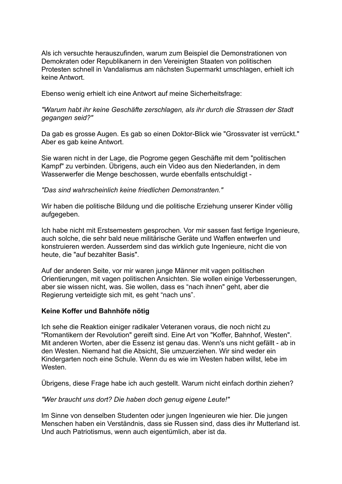Als ich versuchte herauszufinden, warum zum Beispiel die Demonstrationen von Demokraten oder Republikanern in den Vereinigten Staaten von politischen Protesten schnell in Vandalismus am nächsten Supermarkt umschlagen, erhielt ich keine Antwort.

Ebenso wenig erhielt ich eine Antwort auf meine Sicherheitsfrage:

## *"Warum habt ihr keine Geschäfte zerschlagen, als ihr durch die Strassen der Stadt gegangen seid?"*

Da gab es grosse Augen. Es gab so einen Doktor-Blick wie "Grossvater ist verrückt." Aber es gab keine Antwort.

Sie waren nicht in der Lage, die Pogrome gegen Geschäfte mit dem "politischen Kampf" zu verbinden. Übrigens, auch ein Video aus den Niederlanden, in dem Wasserwerfer die Menge beschossen, wurde ebenfalls entschuldigt -

### *"Das sind wahrscheinlich keine friedlichen Demonstranten."*

Wir haben die politische Bildung und die politische Erziehung unserer Kinder völlig aufgegeben.

Ich habe nicht mit Erstsemestern gesprochen. Vor mir sassen fast fertige Ingenieure, auch solche, die sehr bald neue militärische Geräte und Waffen entwerfen und konstruieren werden. Ausserdem sind das wirklich gute Ingenieure, nicht die von heute, die "auf bezahlter Basis".

Auf der anderen Seite, vor mir waren junge Männer mit vagen politischen Orientierungen, mit vagen politischen Ansichten. Sie wollen einige Verbesserungen, aber sie wissen nicht, was. Sie wollen, dass es "nach ihnen" geht, aber die Regierung verteidigte sich mit, es geht "nach uns".

## **Keine Koffer und Bahnhöfe nötig**

Ich sehe die Reaktion einiger radikaler Veteranen voraus, die noch nicht zu "Romantikern der Revolution" gereift sind. Eine Art von "Koffer, Bahnhof, Westen". Mit anderen Worten, aber die Essenz ist genau das. Wenn's uns nicht gefällt - ab in den Westen. Niemand hat die Absicht, Sie umzuerziehen. Wir sind weder ein Kindergarten noch eine Schule. Wenn du es wie im Westen haben willst, lebe im Westen.

Übrigens, diese Frage habe ich auch gestellt. Warum nicht einfach dorthin ziehen?

#### *"Wer braucht uns dort? Die haben doch genug eigene Leute!"*

Im Sinne von denselben Studenten oder jungen Ingenieuren wie hier. Die jungen Menschen haben ein Verständnis, dass sie Russen sind, dass dies ihr Mutterland ist. Und auch Patriotismus, wenn auch eigentümlich, aber ist da.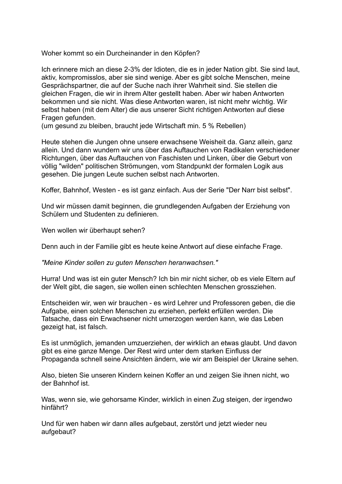Woher kommt so ein Durcheinander in den Köpfen?

Ich erinnere mich an diese 2-3% der Idioten, die es in jeder Nation gibt. Sie sind laut, aktiv, kompromisslos, aber sie sind wenige. Aber es gibt solche Menschen, meine Gesprächspartner, die auf der Suche nach ihrer Wahrheit sind. Sie stellen die gleichen Fragen, die wir in ihrem Alter gestellt haben. Aber wir haben Antworten bekommen und sie nicht. Was diese Antworten waren, ist nicht mehr wichtig. Wir selbst haben (mit dem Alter) die aus unserer Sicht richtigen Antworten auf diese Fragen gefunden.

(um gesund zu bleiben, braucht jede Wirtschaft min. 5 % Rebellen)

Heute stehen die Jungen ohne unsere erwachsene Weisheit da. Ganz allein, ganz allein. Und dann wundern wir uns über das Auftauchen von Radikalen verschiedener Richtungen, über das Auftauchen von Faschisten und Linken, über die Geburt von völlig "wilden" politischen Strömungen, vom Standpunkt der formalen Logik aus gesehen. Die jungen Leute suchen selbst nach Antworten.

Koffer, Bahnhof, Westen - es ist ganz einfach. Aus der Serie "Der Narr bist selbst".

Und wir müssen damit beginnen, die grundlegenden Aufgaben der Erziehung von Schülern und Studenten zu definieren.

Wen wollen wir überhaupt sehen?

Denn auch in der Familie gibt es heute keine Antwort auf diese einfache Frage.

*"Meine Kinder sollen zu guten Menschen heranwachsen."* 

Hurra! Und was ist ein guter Mensch? Ich bin mir nicht sicher, ob es viele Eltern auf der Welt gibt, die sagen, sie wollen einen schlechten Menschen grossziehen.

Entscheiden wir, wen wir brauchen - es wird Lehrer und Professoren geben, die die Aufgabe, einen solchen Menschen zu erziehen, perfekt erfüllen werden. Die Tatsache, dass ein Erwachsener nicht umerzogen werden kann, wie das Leben gezeigt hat, ist falsch.

Es ist unmöglich, jemanden umzuerziehen, der wirklich an etwas glaubt. Und davon gibt es eine ganze Menge. Der Rest wird unter dem starken Einfluss der Propaganda schnell seine Ansichten ändern, wie wir am Beispiel der Ukraine sehen.

Also, bieten Sie unseren Kindern keinen Koffer an und zeigen Sie ihnen nicht, wo der Bahnhof ist.

Was, wenn sie, wie gehorsame Kinder, wirklich in einen Zug steigen, der irgendwo hinfährt?

Und für wen haben wir dann alles aufgebaut, zerstört und jetzt wieder neu aufgebaut?